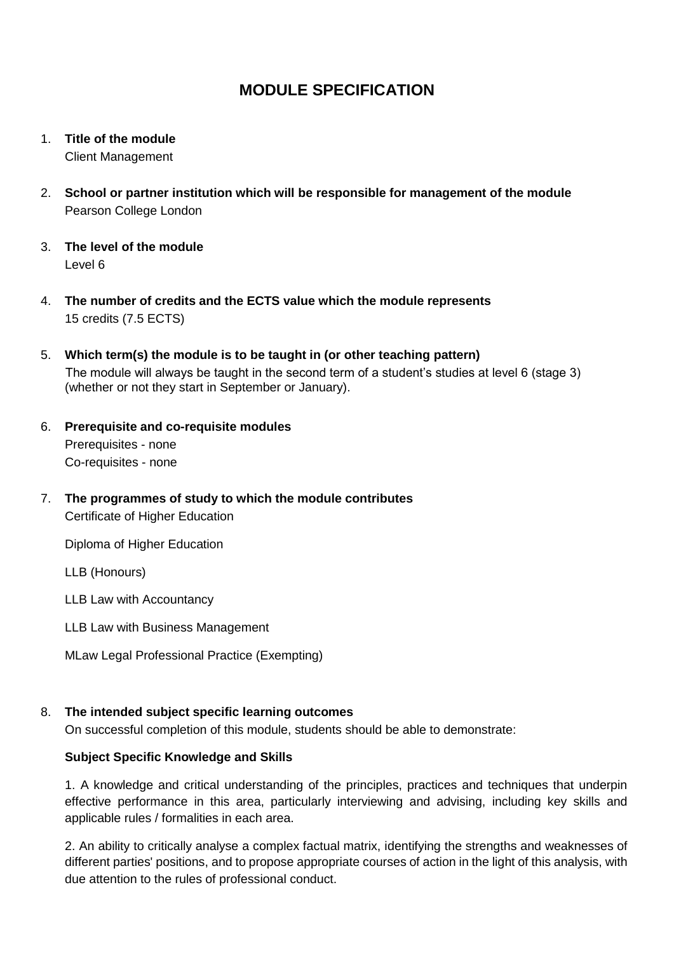- 1. **Title of the module** Client Management
- 2. **School or partner institution which will be responsible for management of the module** Pearson College London
- 3. **The level of the module**  Level 6
- 4. **The number of credits and the ECTS value which the module represents**  15 credits (7.5 ECTS)
- 5. **Which term(s) the module is to be taught in (or other teaching pattern)** The module will always be taught in the second term of a student's studies at level 6 (stage 3) (whether or not they start in September or January).
- 6. **Prerequisite and co-requisite modules** Prerequisites - none Co-requisites - none
- 7. **The programmes of study to which the module contributes** Certificate of Higher Education

Diploma of Higher Education

LLB (Honours)

LLB Law with Accountancy

- LLB Law with Business Management
- MLaw Legal Professional Practice (Exempting)

### 8. **The intended subject specific learning outcomes**

On successful completion of this module, students should be able to demonstrate:

### **Subject Specific Knowledge and Skills**

1. A knowledge and critical understanding of the principles, practices and techniques that underpin effective performance in this area, particularly interviewing and advising, including key skills and applicable rules / formalities in each area.

2. An ability to critically analyse a complex factual matrix, identifying the strengths and weaknesses of different parties' positions, and to propose appropriate courses of action in the light of this analysis, with due attention to the rules of professional conduct.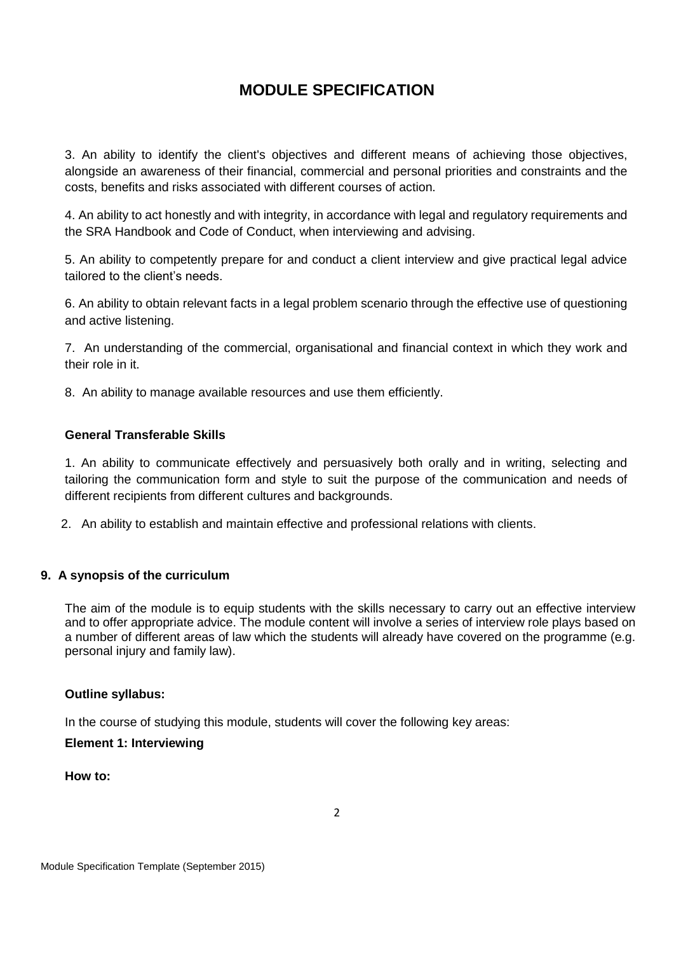3. An ability to identify the client's objectives and different means of achieving those objectives, alongside an awareness of their financial, commercial and personal priorities and constraints and the costs, benefits and risks associated with different courses of action.

4. An ability to act honestly and with integrity, in accordance with legal and regulatory requirements and the SRA Handbook and Code of Conduct, when interviewing and advising.

5. An ability to competently prepare for and conduct a client interview and give practical legal advice tailored to the client's needs.

6. An ability to obtain relevant facts in a legal problem scenario through the effective use of questioning and active listening.

7. An understanding of the commercial, organisational and financial context in which they work and their role in it.

8. An ability to manage available resources and use them efficiently.

### **General Transferable Skills**

1. An ability to communicate effectively and persuasively both orally and in writing, selecting and tailoring the communication form and style to suit the purpose of the communication and needs of different recipients from different cultures and backgrounds.

2. An ability to establish and maintain effective and professional relations with clients.

### **9. A synopsis of the curriculum**

The aim of the module is to equip students with the skills necessary to carry out an effective interview and to offer appropriate advice. The module content will involve a series of interview role plays based on a number of different areas of law which the students will already have covered on the programme (e.g. personal injury and family law).

### **Outline syllabus:**

In the course of studying this module, students will cover the following key areas:

#### **Element 1: Interviewing**

**How to:**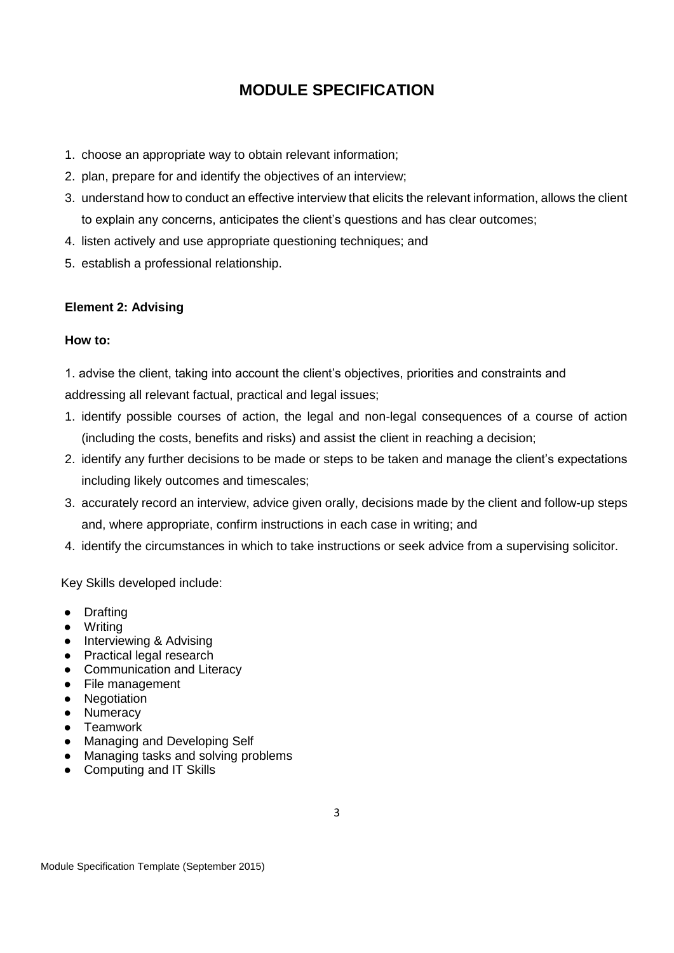- 1. choose an appropriate way to obtain relevant information;
- 2. plan, prepare for and identify the objectives of an interview;
- 3. understand how to conduct an effective interview that elicits the relevant information, allows the client to explain any concerns, anticipates the client's questions and has clear outcomes;
- 4. listen actively and use appropriate questioning techniques; and
- 5. establish a professional relationship.

#### **Element 2: Advising**

#### **How to:**

1. advise the client, taking into account the client's objectives, priorities and constraints and addressing all relevant factual, practical and legal issues;

- 1. identify possible courses of action, the legal and non-legal consequences of a course of action (including the costs, benefits and risks) and assist the client in reaching a decision;
- 2. identify any further decisions to be made or steps to be taken and manage the client's expectations including likely outcomes and timescales;
- 3. accurately record an interview, advice given orally, decisions made by the client and follow-up steps and, where appropriate, confirm instructions in each case in writing; and
- 4. identify the circumstances in which to take instructions or seek advice from a supervising solicitor.

Key Skills developed include:

- Drafting
- Writing
- Interviewing & Advising
- Practical legal research
- Communication and Literacy
- File management
- Negotiation
- Numeracy
- Teamwork
- Managing and Developing Self
- Managing tasks and solving problems
- Computing and IT Skills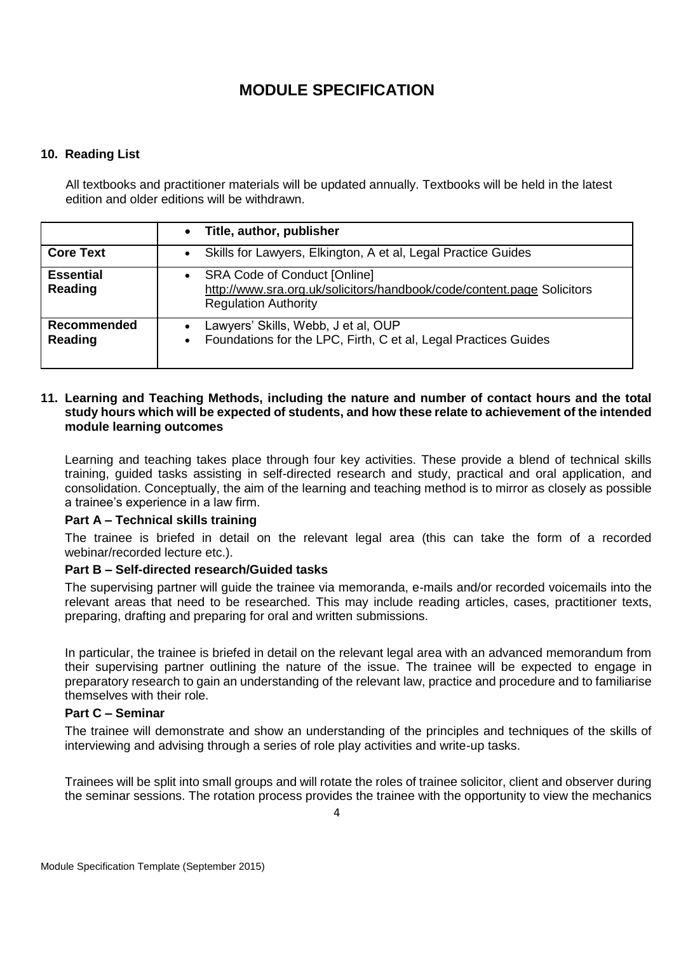### **10. Reading List**

All textbooks and practitioner materials will be updated annually. Textbooks will be held in the latest edition and older editions will be withdrawn.

|                             | Title, author, publisher<br>$\bullet$                                                                                                                     |
|-----------------------------|-----------------------------------------------------------------------------------------------------------------------------------------------------------|
| <b>Core Text</b>            | Skills for Lawyers, Elkington, A et al, Legal Practice Guides<br>$\bullet$                                                                                |
| <b>Essential</b><br>Reading | <b>SRA Code of Conduct [Online]</b><br>$\bullet$<br>http://www.sra.org.uk/solicitors/handbook/code/content.page Solicitors<br><b>Regulation Authority</b> |
| Recommended<br>Reading      | Lawyers' Skills, Webb, J et al, OUP<br>Foundations for the LPC, Firth, C et al, Legal Practices Guides<br>$\bullet$                                       |

#### **11. Learning and Teaching Methods, including the nature and number of contact hours and the total study hours which will be expected of students, and how these relate to achievement of the intended module learning outcomes**

Learning and teaching takes place through four key activities. These provide a blend of technical skills training, guided tasks assisting in self-directed research and study, practical and oral application, and consolidation. Conceptually, the aim of the learning and teaching method is to mirror as closely as possible a trainee's experience in a law firm.

### **Part A – Technical skills training**

The trainee is briefed in detail on the relevant legal area (this can take the form of a recorded webinar/recorded lecture etc.).

### **Part B – Self-directed research/Guided tasks**

The supervising partner will guide the trainee via memoranda, e-mails and/or recorded voicemails into the relevant areas that need to be researched. This may include reading articles, cases, practitioner texts, preparing, drafting and preparing for oral and written submissions.

In particular, the trainee is briefed in detail on the relevant legal area with an advanced memorandum from their supervising partner outlining the nature of the issue. The trainee will be expected to engage in preparatory research to gain an understanding of the relevant law, practice and procedure and to familiarise themselves with their role.

### **Part C – Seminar**

The trainee will demonstrate and show an understanding of the principles and techniques of the skills of interviewing and advising through a series of role play activities and write-up tasks.

Trainees will be split into small groups and will rotate the roles of trainee solicitor, client and observer during the seminar sessions. The rotation process provides the trainee with the opportunity to view the mechanics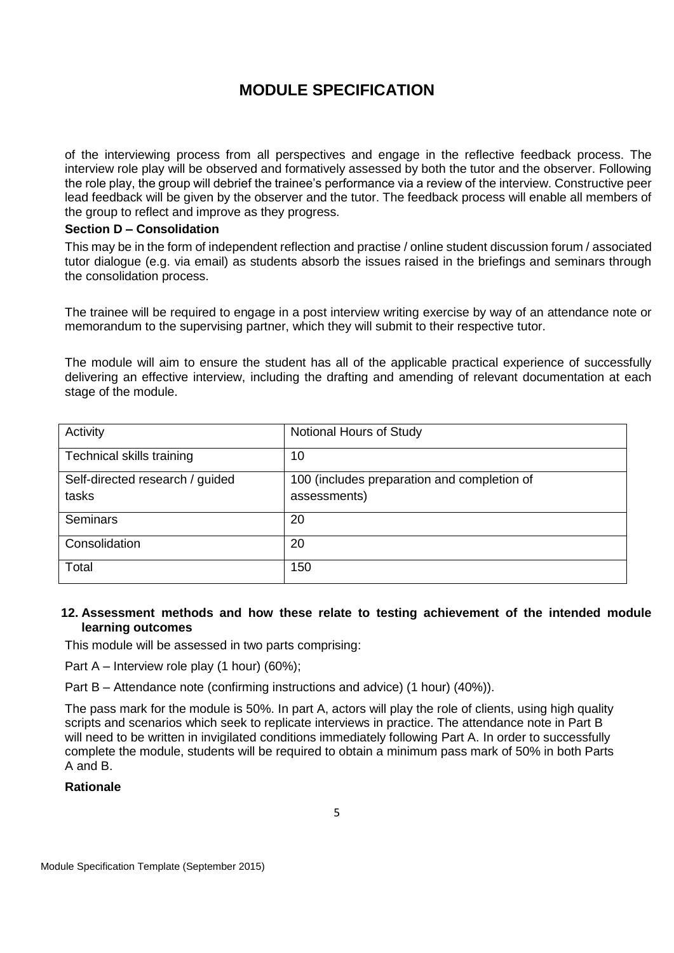of the interviewing process from all perspectives and engage in the reflective feedback process. The interview role play will be observed and formatively assessed by both the tutor and the observer. Following the role play, the group will debrief the trainee's performance via a review of the interview. Constructive peer lead feedback will be given by the observer and the tutor. The feedback process will enable all members of the group to reflect and improve as they progress.

#### **Section D – Consolidation**

This may be in the form of independent reflection and practise / online student discussion forum / associated tutor dialogue (e.g. via email) as students absorb the issues raised in the briefings and seminars through the consolidation process.

The trainee will be required to engage in a post interview writing exercise by way of an attendance note or memorandum to the supervising partner, which they will submit to their respective tutor.

The module will aim to ensure the student has all of the applicable practical experience of successfully delivering an effective interview, including the drafting and amending of relevant documentation at each stage of the module.

| Activity                        | Notional Hours of Study                     |
|---------------------------------|---------------------------------------------|
| Technical skills training       | 10                                          |
| Self-directed research / guided | 100 (includes preparation and completion of |
| tasks                           | assessments)                                |
| <b>Seminars</b>                 | 20                                          |
| Consolidation                   | 20                                          |
| Total                           | 150                                         |

#### **12. Assessment methods and how these relate to testing achievement of the intended module learning outcomes**

This module will be assessed in two parts comprising:

Part A – Interview role play (1 hour) (60%);

Part B – Attendance note (confirming instructions and advice) (1 hour) (40%)).

The pass mark for the module is 50%. In part A, actors will play the role of clients, using high quality scripts and scenarios which seek to replicate interviews in practice. The attendance note in Part B will need to be written in invigilated conditions immediately following Part A. In order to successfully complete the module, students will be required to obtain a minimum pass mark of 50% in both Parts A and B.

### **Rationale**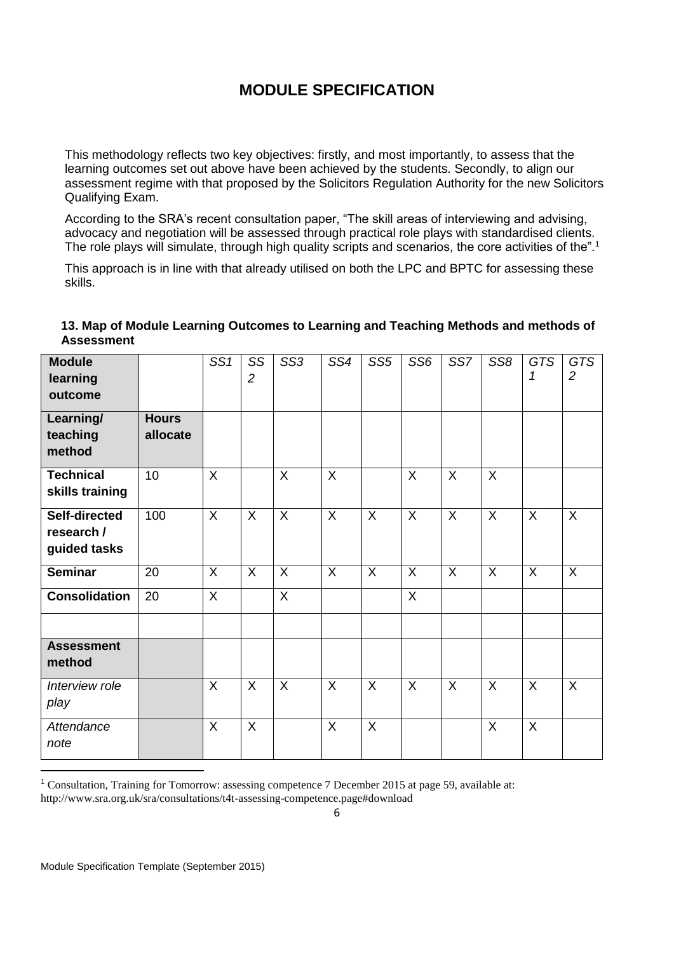This methodology reflects two key objectives: firstly, and most importantly, to assess that the learning outcomes set out above have been achieved by the students. Secondly, to align our assessment regime with that proposed by the Solicitors Regulation Authority for the new Solicitors Qualifying Exam.

According to the SRA's recent consultation paper, "The skill areas of interviewing and advising, advocacy and negotiation will be assessed through practical role plays with standardised clients. The role plays will simulate, through high quality scripts and scenarios, the core activities of the".<sup>1</sup>

This approach is in line with that already utilised on both the LPC and BPTC for assessing these skills.

| <b>Module</b><br>learning<br>outcome        |                          | SS <sub>1</sub> | SS<br>$\overline{2}$ | SS <sub>3</sub> | SS4            | SS <sub>5</sub> | SS <sub>6</sub> | SS7            | SS <sub>8</sub> | <b>GTS</b><br>1 | <b>GTS</b><br>2 |
|---------------------------------------------|--------------------------|-----------------|----------------------|-----------------|----------------|-----------------|-----------------|----------------|-----------------|-----------------|-----------------|
| Learning/<br>teaching<br>method             | <b>Hours</b><br>allocate |                 |                      |                 |                |                 |                 |                |                 |                 |                 |
| <b>Technical</b><br>skills training         | 10                       | $\overline{X}$  |                      | X               | $\overline{X}$ |                 | $\overline{X}$  | $\sf X$        | $\overline{X}$  |                 |                 |
| Self-directed<br>research /<br>guided tasks | 100                      | $\sf X$         | $\mathsf{X}$         | $\sf X$         | $\overline{X}$ | $\sf X$         | $\overline{X}$  | $\overline{X}$ | $\sf X$         | $\mathsf{X}$    | $\overline{X}$  |
| <b>Seminar</b>                              | 20                       | $\sf X$         | X                    | X               | X              | $\sf X$         | X               | $\sf X$        | X               | X               | $\sf X$         |
| <b>Consolidation</b>                        | 20                       | X               |                      | X               |                |                 | X               |                |                 |                 |                 |
| <b>Assessment</b><br>method                 |                          |                 |                      |                 |                |                 |                 |                |                 |                 |                 |
| Interview role<br>play                      |                          | $\sf X$         | X                    | X               | X              | X               | X               | $\sf X$        | X               | X               | $\sf X$         |
| Attendance<br>note                          |                          | X               | X                    |                 | X              | X               |                 |                | X               | X               |                 |

### **13. Map of Module Learning Outcomes to Learning and Teaching Methods and methods of Assessment**

<sup>1</sup> Consultation, Training for Tomorrow: assessing competence 7 December 2015 at page 59, available at: http://www.sra.org.uk/sra/consultations/t4t-assessing-competence.page#download

1